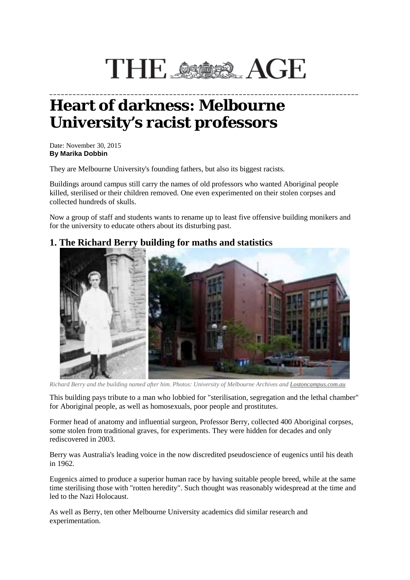# THE SSORE AGE

**\_\_\_\_\_\_\_\_\_\_\_\_\_\_\_\_\_\_\_\_\_\_\_\_\_\_\_\_\_\_\_\_\_\_\_\_\_\_\_\_\_\_\_\_\_\_\_\_\_\_\_\_\_\_\_\_\_\_\_\_\_\_\_\_\_\_\_\_\_\_\_\_\_\_\_\_\_\_\_\_**

## **Heart of darkness: Melbourne University's racist professors**

Date: November 30, 2015 **By Marika Dobbin**

They are Melbourne University's founding fathers, but also its biggest racists.

Buildings around campus still carry the names of old professors who wanted Aboriginal people killed, sterilised or their children removed. One even experimented on their stolen corpses and collected hundreds of skulls.

Now a group of staff and students wants to rename up to least five offensive building monikers and for the university to educate others about its disturbing past.

#### **1. The Richard Berry building for maths and statistics**



*Richard Berry and the building named after him. Photos: University of Melbourne Archives and [Lostoncampus.com.au](http://lostoncampus.com.au/)*

This building pays tribute to a man who lobbied for "sterilisation, segregation and the lethal chamber" for Aboriginal people, as well as homosexuals, poor people and prostitutes.

Former head of anatomy and influential surgeon, Professor Berry, collected 400 Aboriginal corpses, some stolen from traditional graves, for experiments. They were hidden for decades and only rediscovered in 2003.

Berry was Australia's leading voice in the now discredited pseudoscience of eugenics until his death in 1962.

Eugenics aimed to produce a superior human race by having suitable people breed, while at the same time sterilising those with "rotten heredity". Such thought was reasonably widespread at the time and led to the Nazi Holocaust.

As well as Berry, ten other Melbourne University academics did similar research and experimentation.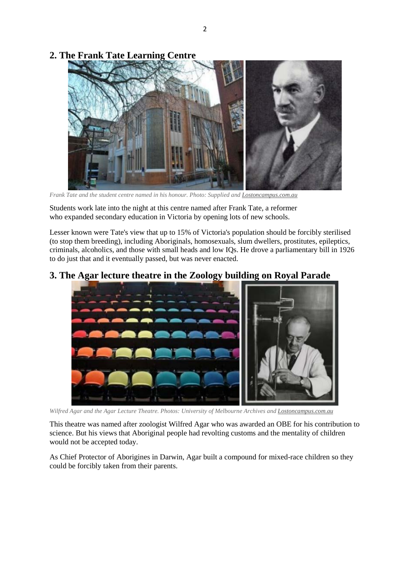### **2. The Frank Tate Learning Centre**



*Frank Tate and the student centre named in his honour. Photo: Supplied and [Lostoncampus.com.au](http://lostoncampus.com.au/)*

Students work late into the night at this centre named after Frank Tate, a reformer who expanded secondary education in Victoria by opening lots of new schools.

Lesser known were Tate's view that up to 15% of Victoria's population should be forcibly sterilised (to stop them breeding), including Aboriginals, homosexuals, slum dwellers, prostitutes, epileptics, criminals, alcoholics, and those with small heads and low IQs. He drove a parliamentary bill in 1926 to do just that and it eventually passed, but was never enacted.

### **3. The Agar lecture theatre in the Zoology building on Royal Parade**



*Wilfred Agar and the Agar Lecture Theatre. Photos: University of Melbourne Archives and [Lostoncampus.com.au](http://lostoncampus.com.au/)*

This theatre was named after zoologist Wilfred Agar who was awarded an OBE for his contribution to science. But his views that Aboriginal people had revolting customs and the mentality of children would not be accepted today.

As Chief Protector of Aborigines in Darwin, Agar built a compound for mixed-race children so they could be forcibly taken from their parents.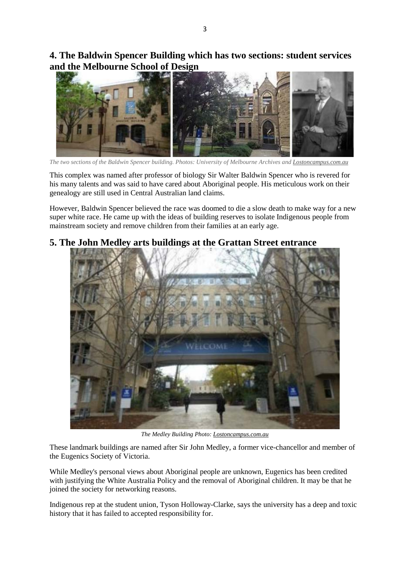**4. The Baldwin Spencer Building which has two sections: student services and the Melbourne School of Design**



*The two sections of the Baldwin Spencer building. Photos: University of Melbourne Archives and [Lostoncampus.com.au](http://lostoncampus.com.au/)*

This complex was named after professor of biology Sir Walter Baldwin Spencer who is revered for his many talents and was said to have cared about Aboriginal people. His meticulous work on their genealogy are still used in Central Australian land claims.

However, Baldwin Spencer believed the race was doomed to die a slow death to make way for a new super white race. He came up with the ideas of building reserves to isolate Indigenous people from mainstream society and remove children from their families at an early age.

### **5. The John Medley arts buildings at the Grattan Street entrance**



*The Medley Building Photo: [Lostoncampus.com.au](http://lostoncampus.com.au/)*

These landmark buildings are named after Sir John Medley, a former vice-chancellor and member of the Eugenics Society of Victoria.

While Medley's personal views about Aboriginal people are unknown, Eugenics has been credited with justifying the White Australia Policy and the removal of Aboriginal children. It may be that he joined the society for networking reasons.

Indigenous rep at the student union, Tyson Holloway-Clarke, says the university has a deep and toxic history that it has failed to accepted responsibility for.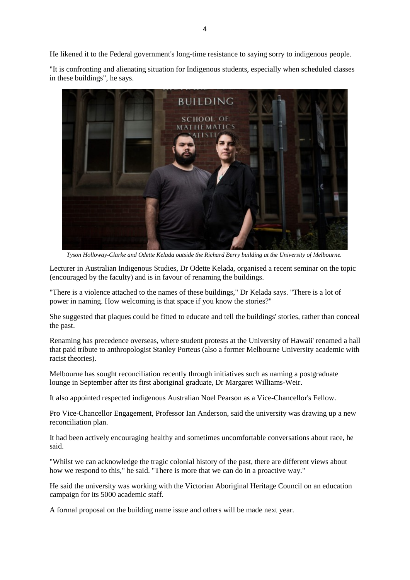He likened it to the Federal government's long-time resistance to saying sorry to indigenous people.

"It is confronting and alienating situation for Indigenous students, especially when scheduled classes in these buildings", he says.



*Tyson Holloway-Clarke and Odette Kelada outside the Richard Berry building at the University of Melbourne.*

Lecturer in Australian Indigenous Studies, Dr Odette Kelada, organised a recent seminar on the topic (encouraged by the faculty) and is in favour of renaming the buildings.

"There is a violence attached to the names of these buildings," Dr Kelada says. "There is a lot of power in naming. How welcoming is that space if you know the stories?"

She suggested that plaques could be fitted to educate and tell the buildings' stories, rather than conceal the past.

Renaming has precedence overseas, where student protests at the University of Hawaii' renamed a hall that paid tribute to anthropologist Stanley Porteus (also a former Melbourne University academic with racist theories).

Melbourne has sought reconciliation recently through initiatives such as naming a postgraduate lounge in September after its first aboriginal graduate, Dr Margaret Williams-Weir.

It also appointed respected indigenous Australian Noel Pearson as a Vice-Chancellor's Fellow.

Pro Vice-Chancellor Engagement, Professor Ian Anderson, said the university was drawing up a new reconciliation plan.

It had been actively encouraging healthy and sometimes uncomfortable conversations about race, he said.

"Whilst we can acknowledge the tragic colonial history of the past, there are different views about how we respond to this," he said. "There is more that we can do in a proactive way."

He said the university was working with the Victorian Aboriginal Heritage Council on an education campaign for its 5000 academic staff.

A formal proposal on the building name issue and others will be made next year.